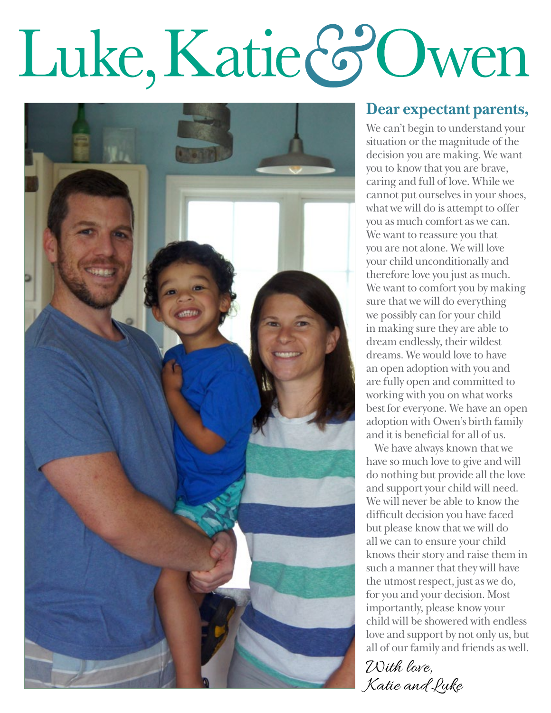# Luke, Katie & Owen



#### **Dear expectant parents,**

We can't begin to understand your situation or the magnitude of the decision you are making. We want you to know that you are brave, caring and full of love. While we cannot put ourselves in your shoes, what we will do is attempt to offer you as much comfort as we can. We want to reassure you that you are not alone. We will love your child unconditionally and therefore love you just as much. We want to comfort you by making sure that we will do everything we possibly can for your child in making sure they are able to dream endlessly, their wildest dreams. We would love to have an open adoption with you and are fully open and committed to working with you on what works best for everyone. We have an open adoption with Owen's birth family and it is beneficial for all of us.

We have always known that we have so much love to give and will do nothing but provide all the love and support your child will need. We will never be able to know the difficult decision you have faced but please know that we will do all we can to ensure your child knows their story and raise them in such a manner that they will have the utmost respect, just as we do, for you and your decision. Most importantly, please know your child will be showered with endless love and support by not only us, but all of our family and friends as well.

With love, Katie and Luke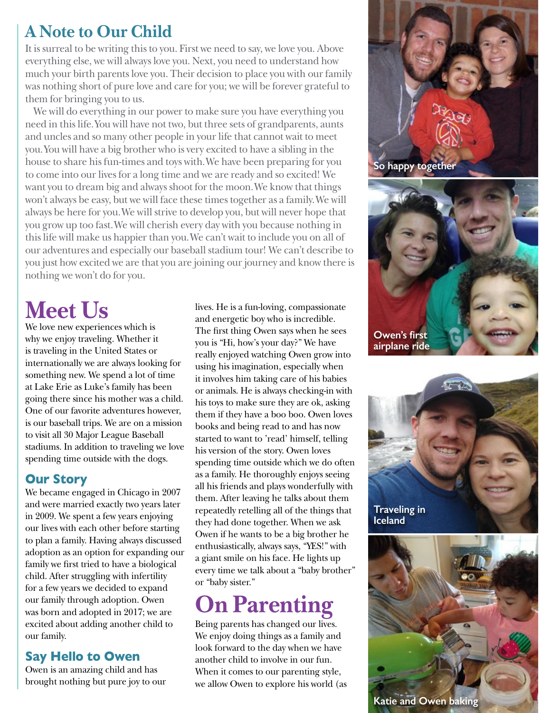### **A Note to Our Child**

It is surreal to be writing this to you. First we need to say, we love you. Above everything else, we will always love you. Next, you need to understand how much your birth parents love you. Their decision to place you with our family was nothing short of pure love and care for you; we will be forever grateful to them for bringing you to us.

We will do everything in our power to make sure you have everything you need in this life. You will have not two, but three sets of grandparents, aunts and uncles and so many other people in your life that cannot wait to meet you. You will have a big brother who is very excited to have a sibling in the house to share his fun-times and toys with. We have been preparing for you to come into our lives for a long time and we are ready and so excited! We want you to dream big and always shoot for the moon. We know that things won't always be easy, but we will face these times together as a family. We will always be here for you. We will strive to develop you, but will never hope that you grow up too fast. We will cherish every day with you because nothing in this life will make us happier than you. We can't wait to include you on all of our adventures and especially our baseball stadium tour! We can't describe to you just how excited we are that you are joining our journey and know there is nothing we won't do for you.

# **Meet Us**

We love new experiences which is why we enjoy traveling. Whether it is traveling in the United States or internationally we are always looking for something new. We spend a lot of time at Lake Erie as Luke's family has been going there since his mother was a child. One of our favorite adventures however, is our baseball trips. We are on a mission to visit all 30 Major League Baseball stadiums. In addition to traveling we love spending time outside with the dogs.

#### **Our Story**

We became engaged in Chicago in 2007 and were married exactly two years later in 2009. We spent a few years enjoying our lives with each other before starting to plan a family. Having always discussed adoption as an option for expanding our family we first tried to have a biological child. After struggling with infertility for a few years we decided to expand our family through adoption. Owen was born and adopted in 2017; we are excited about adding another child to our family.

#### **Say Hello to Owen**

Owen is an amazing child and has brought nothing but pure joy to our lives. He is a fun-loving, compassionate and energetic boy who is incredible. The first thing Owen says when he sees you is "Hi, how's your day?" We have really enjoyed watching Owen grow into using his imagination, especially when it involves him taking care of his babies or animals. He is always checking-in with his toys to make sure they are ok, asking them if they have a boo boo. Owen loves books and being read to and has now started to want to 'read' himself, telling his version of the story. Owen loves spending time outside which we do often as a family. He thoroughly enjoys seeing all his friends and plays wonderfully with them. After leaving he talks about them repeatedly retelling all of the things that they had done together. When we ask Owen if he wants to be a big brother he enthusiastically, always says, "YES!" with a giant smile on his face. He lights up every time we talk about a "baby brother" or "baby sister."

# **On Parenting**

Being parents has changed our lives. We enjoy doing things as a family and look forward to the day when we have another child to involve in our fun. When it comes to our parenting style, we allow Owen to explore his world (as



**Traveling in Iceland**

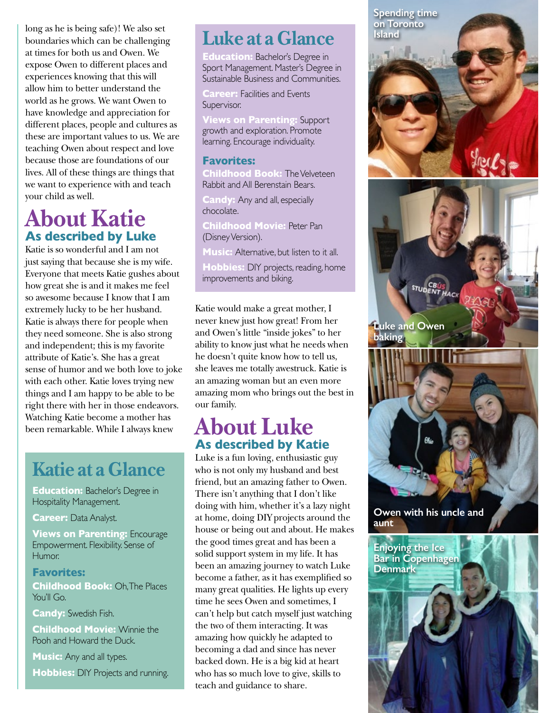long as he is being safe)! We also set boundaries which can be challenging at times for both us and Owen. We expose Owen to different places and experiences knowing that this will allow him to better understand the world as he grows. We want Owen to have knowledge and appreciation for different places, people and cultures as these are important values to us. We are teaching Owen about respect and love because those are foundations of our lives. All of these things are things that we want to experience with and teach your child as well.

## **About Katie As described by Luke**

Katie is so wonderful and I am not just saying that because she is my wife. Everyone that meets Katie gushes about how great she is and it makes me feel so awesome because I know that I am extremely lucky to be her husband. Katie is always there for people when they need someone. She is also strong and independent; this is my favorite attribute of Katie's. She has a great sense of humor and we both love to joke with each other. Katie loves trying new things and I am happy to be able to be right there with her in those endeavors. Watching Katie become a mother has been remarkable. While I always knew

# **Katie at a Glance**

**Education:** Bachelor's Degree in Hospitality Management.

**Career: Data Analyst.** 

**Views on Parenting:** Encourage Empowerment. Flexibility. Sense of Humor.

**Favorites: Childhood Book: Oh, The Places** You'll Go.

**Candy:** Swedish Fish.

**Childhood Movie:** Winnie the Pooh and Howard the Duck.

**Music:** Any and all types.

**Hobbies:** DIY Projects and running.

# **Luke at a Glance**

**Education:** Bachelor's Degree in Sport Management. Master's Degree in Sustainable Business and Communities.

**Career: Facilities and Events** Supervisor.

**Views on Parenting:** Support growth and exploration. Promote learning. Encourage individuality.

#### **Favorites:**

**Childhood Book:** The Velveteen Rabbit and All Berenstain Bears.

**Candy:** Any and all, especially chocolate.

**Childhood Movie:** Peter Pan (Disney Version).

**Music:** Alternative, but listen to it all.

**Hobbies:** DIY projects, reading, home improvements and biking.

Katie would make a great mother, I never knew just how great! From her and Owen's little "inside jokes" to her ability to know just what he needs when he doesn't quite know how to tell us, she leaves me totally awestruck. Katie is an amazing woman but an even more amazing mom who brings out the best in our family.

#### **About Luke As described by Katie**

Luke is a fun loving, enthusiastic guy who is not only my husband and best friend, but an amazing father to Owen. There isn't anything that I don't like doing with him, whether it's a lazy night at home, doing DIY projects around the house or being out and about. He makes the good times great and has been a solid support system in my life. It has been an amazing journey to watch Luke become a father, as it has exemplified so many great qualities. He lights up every time he sees Owen and sometimes, I can't help but catch myself just watching the two of them interacting. It was amazing how quickly he adapted to becoming a dad and since has never backed down. He is a big kid at heart who has so much love to give, skills to teach and guidance to share.



**Denmark**